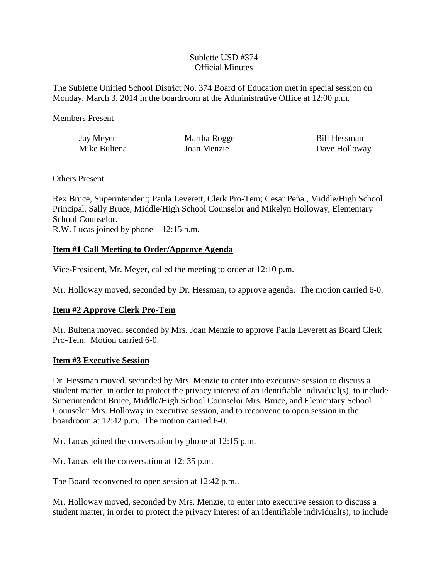### Sublette USD #374 Official Minutes

The Sublette Unified School District No. 374 Board of Education met in special session on Monday, March 3, 2014 in the boardroom at the Administrative Office at 12:00 p.m.

Members Present

Jay Meyer Martha Rogge Bill Hessman Mike Bultena **Ioan Menzie** Dave Holloway

Others Present

Rex Bruce, Superintendent; Paula Leverett, Clerk Pro-Tem; Cesar Peña , Middle/High School Principal, Sally Bruce, Middle/High School Counselor and Mikelyn Holloway, Elementary School Counselor. R.W. Lucas joined by phone – 12:15 p.m.

# **Item #1 Call Meeting to Order/Approve Agenda**

Vice-President, Mr. Meyer, called the meeting to order at 12:10 p.m.

Mr. Holloway moved, seconded by Dr. Hessman, to approve agenda. The motion carried 6-0.

# **Item #2 Approve Clerk Pro-Tem**

Mr. Bultena moved, seconded by Mrs. Joan Menzie to approve Paula Leverett as Board Clerk Pro-Tem. Motion carried 6-0.

# **Item #3 Executive Session**

Dr. Hessman moved, seconded by Mrs. Menzie to enter into executive session to discuss a student matter, in order to protect the privacy interest of an identifiable individual(s), to include Superintendent Bruce, Middle/High School Counselor Mrs. Bruce, and Elementary School Counselor Mrs. Holloway in executive session, and to reconvene to open session in the boardroom at 12:42 p.m. The motion carried 6-0.

Mr. Lucas joined the conversation by phone at 12:15 p.m.

Mr. Lucas left the conversation at 12: 35 p.m.

The Board reconvened to open session at 12:42 p.m..

Mr. Holloway moved, seconded by Mrs. Menzie, to enter into executive session to discuss a student matter, in order to protect the privacy interest of an identifiable individual(s), to include